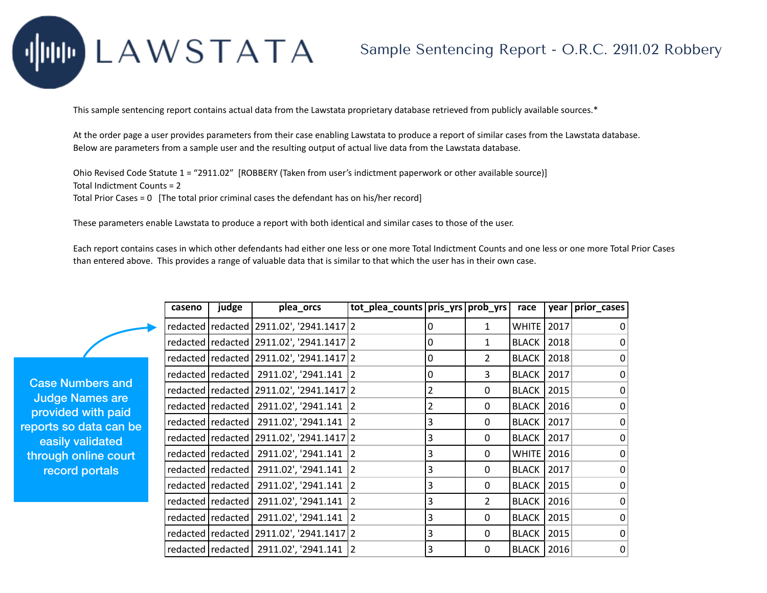## LAWSTATA

## Sample Sentencing Report - O.R.C. 2911.02 Robbery

This sample sentencing report contains actual data from the Lawstata proprietary database retrieved from publicly available sources.\*

At the order page a user provides parameters from their case enabling Lawstata to produce a report of similar cases from the Lawstata database. Below are parameters from a sample user and the resulting output of actual live data from the Lawstata database.

Ohio Revised Code Statute 1 = "2911.02" [ROBBERY (Taken from user's indictment paperwork or other available source)] Total Indictment Counts = 2

Total Prior Cases = 0 [The total prior criminal cases the defendant has on his/her record]

These parameters enable Lawstata to produce a report with both identical and similar cases to those of the user.

Each report contains cases in which other defendants had either one less or one more Total Indictment Counts and one less or one more Total Prior Cases than entered above. This provides a range of valuable data that is similar to that which the user has in their own case.

|                         | caseno | judge | plea_orcs                                      | tot_plea_counts   pris_yrs   prob_yrs |   |               | race                | year | prior_cases  |
|-------------------------|--------|-------|------------------------------------------------|---------------------------------------|---|---------------|---------------------|------|--------------|
|                         |        |       | redacted   redacted   2911.02', '2941.1417   2 |                                       | 0 | 1             | WHITE               | 2017 |              |
|                         |        |       | redacted   redacted   2911.02', '2941.1417   2 |                                       | 0 | 1             | <b>BLACK   2018</b> |      | 0            |
|                         |        |       | redacted   redacted   2911.02', '2941.1417   2 |                                       | 0 | 2             | <b>BLACK   2018</b> |      | 0            |
|                         |        |       | redacted   redacted   2911.02', '2941.141      | $\overline{2}$                        | 0 | 3             | <b>BLACK   2017</b> |      | 0            |
|                         |        |       | redacted   redacted   2911.02', '2941.1417   2 |                                       | 2 | 0             | <b>BLACK   2015</b> |      | 0            |
|                         |        |       | redacted   redacted   2911.02', '2941.141   2  |                                       | 2 | 0             | <b>BLACK   2016</b> |      | 0            |
| $\overline{\mathbf{e}}$ |        |       | redacted   redacted   2911.02', '2941.141      | 2                                     | 3 | $\Omega$      | <b>BLACK   2017</b> |      | 0            |
|                         |        |       | redacted   redacted   2911.02', '2941.1417   2 |                                       | 3 | 0             | <b>BLACK   2017</b> |      | 0            |
| ť                       |        |       | redacted redacted   2911.02', '2941.141        | $\overline{2}$                        | 3 | $\Omega$      | <b>WHITE</b> 2016   |      | $\mathbf{0}$ |
|                         |        |       | redacted   redacted   2911.02', '2941.141      | 2                                     | 3 | $\Omega$      | <b>BLACK   2017</b> |      | 0            |
|                         |        |       | redacted   redacted   2911.02', '2941.141      | 12                                    | 3 | 0             | <b>BLACK   2015</b> |      | 0            |
|                         |        |       | redacted   redacted   2911.02', '2941.141      | 12                                    | 3 | $\mathcal{P}$ | <b>BLACK   2016</b> |      | $\mathbf{0}$ |
|                         |        |       | redacted   redacted   2911.02', '2941.141      | 12                                    | 3 | 0             | <b>BLACK   2015</b> |      | 0            |
|                         |        |       | redacted   redacted   2911.02', '2941.1417   2 |                                       | 3 | $\Omega$      | <b>BLACK   2015</b> |      | 0            |
|                         |        |       | redacted   redacted   2911.02', '2941.141   2  |                                       | 3 | 0             | <b>BLACK   2016</b> |      | 0            |

Case Numbers and Judge Names are provided with paid reports so data can l easily validated through online cour record portals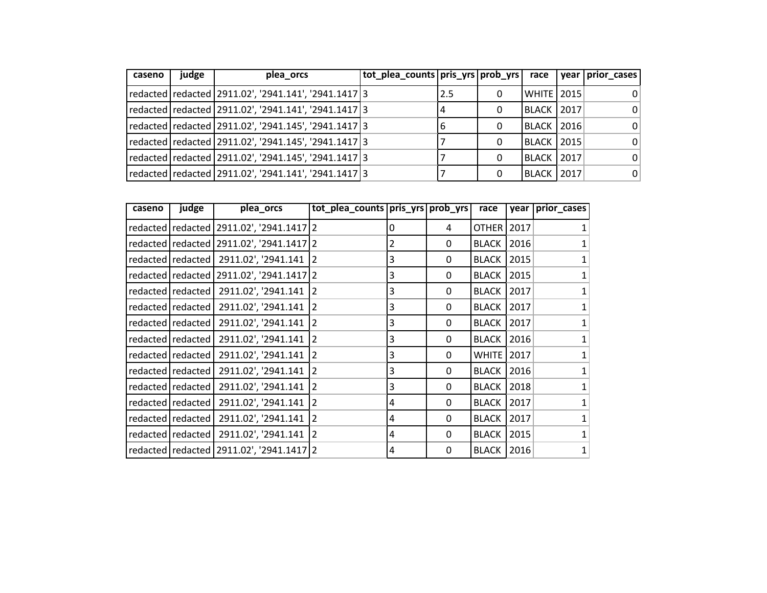| caseno | judge | plea orcs                                                  | tot_plea_counts pris_yrs prob_yrs  race |       |   |                     | year prior cases |
|--------|-------|------------------------------------------------------------|-----------------------------------------|-------|---|---------------------|------------------|
|        |       | redacted  redacted   2911.02', '2941.141', '2941.1417 3    |                                         | l 2.5 | 0 | WHITE   2015        | $\Omega$         |
|        |       | redacted   redacted   2911.02', '2941.141', '2941.1417 3   |                                         |       | 0 | <b>BLACK 2017</b>   | 0                |
|        |       | redacted   redacted   2911.02', '2941.145', '2941.1417 3   |                                         | 16    | 0 | <b>BLACK   2016</b> | 0                |
|        |       | redacted   redacted   2911.02', '2941.145', '2941.1417   3 |                                         |       | 0 | BLACK   2015        | 0                |
|        |       | redacted  redacted   2911.02', '2941.145', '2941.1417 3    |                                         |       | 0 | <b>BLACK   2017</b> | 0                |
|        |       | redacted   redacted   2911.02', '2941.141', '2941.1417 3   |                                         |       | 0 | BLACK   2017        | 0                |

| caseno | judge               | plea_orcs                                      | tot_plea_counts pris_yrs prob_yrs |   |   | race                | year | prior_cases               |
|--------|---------------------|------------------------------------------------|-----------------------------------|---|---|---------------------|------|---------------------------|
|        |                     | redacted   redacted   2911.02', '2941.1417   2 |                                   | 0 | 4 | OTHER   2017        |      | $\mathbf{1}$              |
|        |                     | redacted   redacted   2911.02', '2941.1417   2 |                                   | 2 | 0 | <b>BLACK</b>        | 2016 | $\mathbf{1}$              |
|        |                     | redacted   redacted   2911.02', '2941.141   2  |                                   | 3 | 0 | <b>BLACK</b>        | 2015 | $\mathbf{1}$              |
|        |                     | redacted   redacted   2911.02', '2941.1417   2 |                                   | 3 | 0 | <b>BLACK</b>        | 2015 | $\mathbf{1}$              |
|        |                     | redacted   redacted   2911.02', '2941.141      | $\overline{2}$                    | 3 | 0 | <b>BLACK</b>        | 2017 | $\mathbf{1}$              |
|        |                     | redacted   redacted   2911.02', '2941.141      | $\overline{2}$                    | 3 | 0 | <b>BLACK</b>        | 2017 | $\mathbf{1}$              |
|        |                     | redacted   redacted   2911.02', '2941.141      | $\overline{2}$                    | 3 | 0 | <b>BLACK</b>        | 2017 | $\mathbf{1}$              |
|        | redacted   redacted | 2911.02', '2941.141                            | $\overline{2}$                    | 3 | 0 | <b>BLACK</b>        | 2016 | $\mathbf{1}$              |
|        | redacted   redacted | 2911.02', '2941.141 2                          |                                   | 3 | 0 | <b>WHITE</b> 2017   |      | $\mathbf{1}$              |
|        | redacted   redacted | 2911.02', '2941.141                            | $\overline{2}$                    | 3 | 0 | <b>BLACK</b>        | 2016 | $\mathbf{1}$              |
|        | redacted   redacted | 2911.02', '2941.141                            | $\overline{2}$                    | 3 | 0 | <b>BLACK</b>        | 2018 | $\mathbf{1}$              |
|        | redacted   redacted | 2911.02', '2941.141                            | $\overline{2}$                    | 4 | 0 | <b>BLACK</b>        | 2017 | $\mathbf{1}$              |
|        | redacted redacted   | 2911.02', '2941.141 2                          |                                   | 4 | 0 | <b>BLACK</b>        | 2017 | $\mathbf{1}$              |
|        |                     | redacted   redacted   2911.02', '2941.141      | $\overline{2}$                    | 4 | 0 | <b>BLACK</b>        | 2015 | $\mathbf{1}$              |
|        |                     | redacted   redacted   2911.02', '2941.1417   2 |                                   | 4 | 0 | <b>BLACK   2016</b> |      | $\ensuremath{\mathbf{1}}$ |